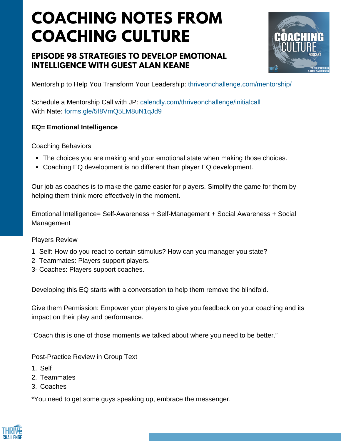# **COACHING NOTES FROM COACHING CULTURE**

## **EPISODE 98 STRATEGIES TO DEVELOP EMOTIONAL INTELLIGENCE WITH GUEST ALAN KEANE**



Mentorship to Help You Transform Your Leadership: <thriveonchallenge.com/mentorship/>

Schedule a Mentorship Call with JP: <calendly.com/thriveonchallenge/initialcall> With Nate: forms.gle/5f8VmO5LM8uN1qJd9

### **EQ= Emotional Intelligence**

Coaching Behaviors

- The choices you are making and your emotional state when making those choices.
- Coaching EQ development is no different than player EQ development.

Our job as coaches is to make the game easier for players. Simplify the game for them by helping them think more effectively in the moment.

Emotional Intelligence= Self-Awareness + Self-Management + Social Awareness + Social Management

#### Players Review

- 1- Self: How do you react to certain stimulus? How can you manager you state?
- 2- Teammates: Players support players.
- 3- Coaches: Players support coaches.

Developing this EQ starts with a conversation to help them remove the blindfold.

Give them Permission: Empower your players to give you feedback on your coaching and its impact on their play and performance.

"Coach this is one of those moments we talked about where you need to be better."

Post-Practice Review in Group Text

- Self 1.
- 2. Teammates
- 3. Coaches

\*You need to get some guys speaking up, embrace the messenger.